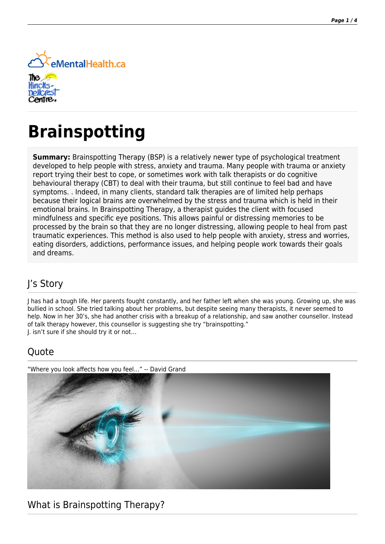

# **Brainspotting**

**Summary:** Brainspotting Therapy (BSP) is a relatively newer type of psychological treatment developed to help people with stress, anxiety and trauma. Many people with trauma or anxiety report trying their best to cope, or sometimes work with talk therapists or do cognitive behavioural therapy (CBT) to deal with their trauma, but still continue to feel bad and have symptoms. . Indeed, in many clients, standard talk therapies are of limited help perhaps because their logical brains are overwhelmed by the stress and trauma which is held in their emotional brains. In Brainspotting Therapy, a therapist guides the client with focused mindfulness and specific eye positions. This allows painful or distressing memories to be processed by the brain so that they are no longer distressing, allowing people to heal from past traumatic experiences. This method is also used to help people with anxiety, stress and worries, eating disorders, addictions, performance issues, and helping people work towards their goals and dreams.

# J's Story

J has had a tough life. Her parents fought constantly, and her father left when she was young. Growing up, she was bullied in school. She tried talking about her problems, but despite seeing many therapists, it never seemed to help. Now in her 30's, she had another crisis with a breakup of a relationship, and saw another counsellor. Instead of talk therapy however, this counsellor is suggesting she try "brainspotting." J. isn't sure if she should try it or not…

#### **Ouote**

"Where you look affects how you feel…" -- David Grand



#### What is Brainspotting Therapy?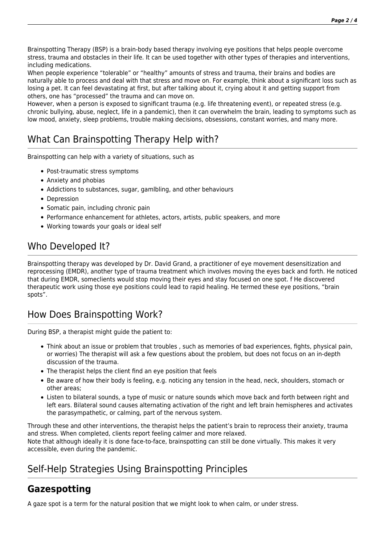Brainspotting Therapy (BSP) is a brain-body based therapy involving eye positions that helps people overcome stress, trauma and obstacles in their life. It can be used together with other types of therapies and interventions, including medications.

When people experience "tolerable" or "healthy" amounts of stress and trauma, their brains and bodies are naturally able to process and deal with that stress and move on. For example, think about a significant loss such as losing a pet. It can feel devastating at first, but after talking about it, crying about it and getting support from others, one has "processed" the trauma and can move on.

However, when a person is exposed to significant trauma (e.g. life threatening event), or repeated stress (e.g. chronic bullying, abuse, neglect, life in a pandemic), then it can overwhelm the brain, leading to symptoms such as low mood, anxiety, sleep problems, trouble making decisions, obsessions, constant worries, and many more.

# What Can Brainspotting Therapy Help with?

Brainspotting can help with a variety of situations, such as

- Post-traumatic stress symptoms
- Anxiety and phobias
- Addictions to substances, sugar, gamlbling, and other behaviours
- Depression
- Somatic pain, including chronic pain
- Performance enhancement for athletes, actors, artists, public speakers, and more
- Working towards your goals or ideal self

### Who Developed It?

Brainspotting therapy was developed by Dr. David Grand, a practitioner of eye movement desensitization and reprocessing (EMDR), another type of trauma treatment which involves moving the eyes back and forth. He noticed that during EMDR, someclients would stop moving their eyes and stay focused on one spot. f He discovered therapeutic work using those eye positions could lead to rapid healing. He termed these eye positions, "brain spots".

#### How Does Brainspotting Work?

During BSP, a therapist might guide the patient to:

- Think about an issue or problem that troubles , such as memories of bad experiences, fights, physical pain, or worries) The therapist will ask a few questions about the problem, but does not focus on an in-depth discussion of the trauma.
- The therapist helps the client find an eye position that feels
- Be aware of how their body is feeling, e.g. noticing any tension in the head, neck, shoulders, stomach or other areas;
- Listen to bilateral sounds, a type of music or nature sounds which move back and forth between right and left ears. Bilateral sound causes alternating activation of the right and left brain hemispheres and activates the parasympathetic, or calming, part of the nervous system.

Through these and other interventions, the therapist helps the patient's brain to reprocess their anxiety, trauma and stress. When completed, clients report feeling calmer and more relaxed.

Note that although ideally it is done face-to-face, brainspotting can still be done virtually. This makes it very accessible, even during the pandemic.

#### Self-Help Strategies Using Brainspotting Principles

#### **Gazespotting**

A gaze spot is a term for the natural position that we might look to when calm, or under stress.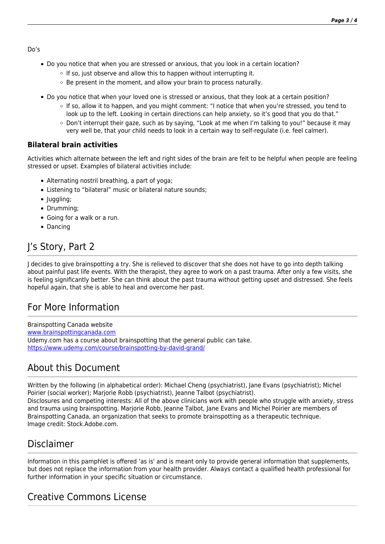Do's

- Do you notice that when you are stressed or anxious, that you look in a certain location?
	- $\circ$  If so, just observe and allow this to happen without interrupting it.
	- $\circ$  Be present in the moment, and allow your brain to process naturally.
- Do you notice that when your loved one is stressed or anxious, that they look at a certain position?
	- If so, allow it to happen, and you might comment: "I notice that when you're stressed, you tend to look up to the left. Looking in certain directions can help anxiety, so it's good that you do that."
	- Don't interrupt their gaze, such as by saying, "Look at me when I'm talking to you!" because it may very well be, that your child needs to look in a certain way to self-regulate (i.e. feel calmer).

#### **Bilateral brain activities**

Activities which alternate between the left and right sides of the brain are felt to be helpful when people are feeling stressed or upset. Examples of bilateral activities include:

- Alternating nostril breathing, a part of yoga;
- Listening to "bilateral" music or bilateral nature sounds;
- Juggling;
- Drumming;
- Going for a walk or a run.
- Dancing

# J's Story, Part 2

J decides to give brainspotting a try. She is relieved to discover that she does not have to go into depth talking about painful past life events. With the therapist, they agree to work on a past trauma. After only a few visits, she is feeling significantly better. She can think about the past trauma without getting upset and distressed. She feels hopeful again, that she is able to heal and overcome her past.

#### For More Information

Brainspotting Canada website [www.brainspottingcanada.com](http://www.brainspottingcanada.com) Udemy.com has a course about brainspotting that the general public can take. <https://www.udemy.com/course/brainspotting-by-david-grand/>

#### About this Document

Written by the following (in alphabetical order): Michael Cheng (psychiatrist), Jane Evans (psychiatrist); Michel Poirier (social worker); Marjorie Robb (psychiatrist), Jeanne Talbot (psychiatrist). Disclosures and competing interests: All of the above clinicians work with people who struggle with anxiety, stress and trauma using brainspotting. Marjorie Robb, Jeanne Talbot, Jane Evans and Michel Poirier are members of Brainspotting Canada, an organization that seeks to promote brainspotting as a therapeutic technique. Image credit: Stock.Adobe.com.

#### Disclaimer

Information in this pamphlet is offered 'as is' and is meant only to provide general information that supplements, but does not replace the information from your health provider. Always contact a qualified health professional for further information in your specific situation or circumstance.

# Creative Commons License